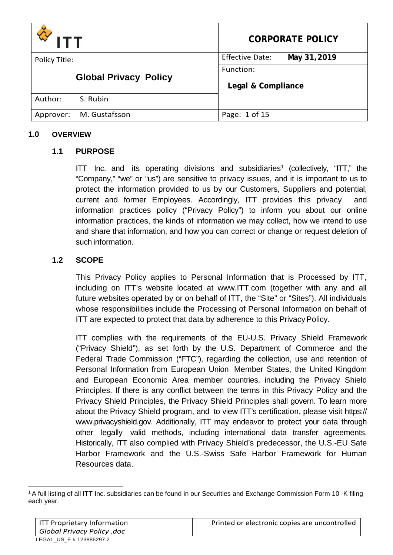| דדו                          | <b>CORPORATE POLICY</b>                |  |
|------------------------------|----------------------------------------|--|
| Policy Title:                | <b>Effective Date:</b><br>May 31, 2019 |  |
| <b>Global Privacy Policy</b> | Function:<br>Legal & Compliance        |  |
| Author:<br>S. Rubin          |                                        |  |
| M. Gustafsson<br>Approver:   | Page: 1 of 15                          |  |

### **1.0 OVERVIEW**

## **1.1 PURPOSE**

ITT Inc. and its operating divisions and subsidiaries<sup>1</sup> (collectively, "ITT," the "Company," "we" or "us") are sensitive to privacy issues, and it is important to us to protect the information provided to us by our Customers, Suppliers and potential, current and former Employees. Accordingly, ITT provides this privacy and information practices policy ("Privacy Policy") to inform you about our online information practices, the kinds of information we may collect, how we intend to use and share that information, and how you can correct or change or request deletion of such information.

## **1.2 SCOPE**

This Privacy Policy applies to Personal Information that is Processed by ITT, including on ITT's website located at [www.ITT.com](http://www.itt.com/) (together with any and all future websites operated by or on behalf of ITT, the "Site" or "Sites"). All individuals whose responsibilities include the Processing of Personal Information on behalf of ITT are expected to protect that data by adherence to this Privacy Policy.

ITT complies with the requirements of the EU-U.S. Privacy Shield Framework ("Privacy Shield"), as set forth by the U.S. Department of Commerce and the Federal Trade Commission ("FTC"), regarding the collection, use and retention of Personal Information from European Union Member States, the United Kingdom and European Economic Area member countries, including the Privacy Shield Principles. If there is any conflict between the terms in this Privacy Policy and the Privacy Shield Principles, the Privacy Shield Principles shall govern. To learn more about the Privacy Shield program, and to view ITT's certification, please visit https:// [www.privacyshield.gov.](http://www.privacyshield.gov/) Additionally, ITT may endeavor to protect your data through other legally valid methods, including international data transfer agreements. Historically, ITT also complied with Privacy Shield's predecessor, the U.S.-EU Safe Harbor Framework and the U.S.-Swiss Safe Harbor Framework for Human Resources data.

<sup>1</sup> A full listing of all ITT Inc. subsidiaries can be found in our Securities and Exchange Commission Form 10 -K filing each year.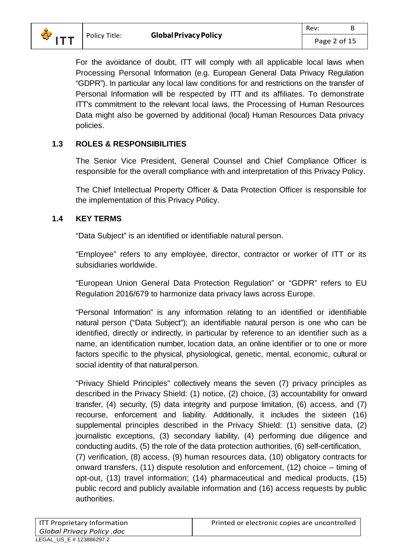

For the avoidance of doubt, ITT will comply with all applicable local laws when Processing Personal Information (e.g. European General Data Privacy Regulation "GDPR"). In particular any local law conditions for and restrictions on the transfer of Personal Information will be respected by ITT and its affiliates. To demonstrate ITT's commitment to the relevant local laws, the Processing of Human Resources Data might also be governed by additional (local) Human Resources Data privacy policies.

## **1.3 ROLES & RESPONSIBILITIES**

The Senior Vice President, General Counsel and Chief Compliance Officer is responsible for the overall compliance with and interpretation of this Privacy Policy.

The Chief Intellectual Property Officer & Data Protection Officer is responsible for the implementation of this Privacy Policy.

## **1.4 KEY TERMS**

"Data Subject" is an identified or identifiable natural person.

"Employee" refers to any employee, director, contractor or worker of ITT or its subsidiaries worldwide.

"European Union General Data Protection Regulation" or "GDPR" refers to EU Regulation 2016/679 to harmonize data privacy laws across Europe.

"Personal Information" is any information relating to an identified or identifiable natural person ("Data Subject"); an identifiable natural person is one who can be identified, directly or indirectly, in particular by reference to an identifier such as a name, an identification number, location data, an online identifier or to one or more factors specific to the physical, physiological, genetic, mental, economic, cultural or social identity of that natural person.

"Privacy Shield Principles" collectively means the seven (7) privacy principles as described in the Privacy Shield: (1) notice, (2) choice, (3) accountability for onward transfer, (4) security, (5) data integrity and purpose limitation, (6) access, and (7) recourse, enforcement and liability. Additionally, it includes the sixteen (16) supplemental principles described in the Privacy Shield: (1) sensitive data, (2) journalistic exceptions, (3) secondary liability, (4) performing due diligence and conducting audits, (5) the role of the data protection authorities, (6) self-certification, (7) verification, (8) access, (9) human resources data, (10) obligatory contracts for onward transfers, (11) dispute resolution and enforcement, (12) choice – timing of opt-out, (13) travel information; (14) pharmaceutical and medical products, (15) public record and publicly available information and (16) access requests by public authorities.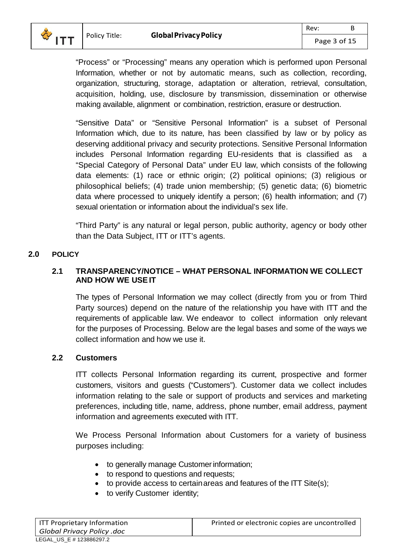

"Process" or "Processing" means any operation which is performed upon Personal Information, whether or not by automatic means, such as collection, recording, organization, structuring, storage, adaptation or alteration, retrieval, consultation, acquisition, holding, use, disclosure by transmission, dissemination or otherwise making available, alignment or combination, restriction, erasure or destruction.

"Sensitive Data" or "Sensitive Personal Information" is a subset of Personal Information which, due to its nature, has been classified by law or by policy as deserving additional privacy and security protections. Sensitive Personal Information includes Personal Information regarding EU-residents that is classified as a "Special Category of Personal Data" under EU law, which consists of the following data elements: (1) race or ethnic origin; (2) political opinions; (3) religious or philosophical beliefs; (4) trade union membership; (5) genetic data; (6) biometric data where processed to uniquely identify a person; (6) health information; and (7) sexual orientation or information about the individual's sex life.

"Third Party" is any natural or legal person, public authority, agency or body other than the Data Subject, ITT or ITT's agents.

#### **2.0 POLICY**

### **2.1 TRANSPARENCY/NOTICE – WHAT PERSONAL INFORMATION WE COLLECT AND HOW WE USEIT**

The types of Personal Information we may collect (directly from you or from Third Party sources) depend on the nature of the relationship you have with ITT and the requirements of applicable law. We endeavor to collect information only relevant for the purposes of Processing. Below are the legal bases and some of the ways we collect information and how we use it.

#### **2.2 Customers**

ITT collects Personal Information regarding its current, prospective and former customers, visitors and guests ("Customers"). Customer data we collect includes information relating to the sale or support of products and services and marketing preferences, including title, name, address, phone number, email address, payment information and agreements executed with ITT.

We Process Personal Information about Customers for a variety of business purposes including:

- to generally manage Customer information;
- to respond to questions and requests;
- to provide access to certain areas and features of the ITT Site(s);
- to verify Customer identity;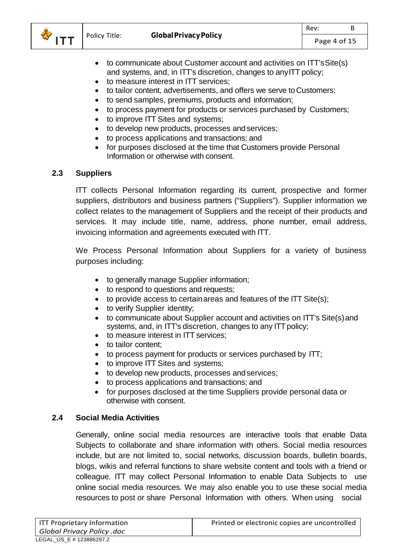

- to communicate about Customer account and activities on ITT'sSite(s) and systems, and, in ITT's discretion, changes to anyITT policy;
- to measure interest in ITT services;
- to tailor content, advertisements, and offers we serve to Customers;
- to send samples, premiums, products and information;
- to process payment for products or services purchased by Customers;
- to improve ITT Sites and systems;
- to develop new products, processes and services;
- to process applications and transactions; and
- for purposes disclosed at the time that Customers provide Personal Information or otherwise with consent.

## **2.3 Suppliers**

ITT collects Personal Information regarding its current, prospective and former suppliers, distributors and business partners ("Suppliers"). Supplier information we collect relates to the management of Suppliers and the receipt of their products and services. It may include title, name, address, phone number, email address, invoicing information and agreements executed with ITT.

We Process Personal Information about Suppliers for a variety of business purposes including:

- to generally manage Supplier information;
- to respond to questions and requests;
- $\bullet$  to provide access to certain areas and features of the ITT Site(s);
- to verify Supplier identity;
- to communicate about Supplier account and activities on ITT's Site(s)and systems, and, in ITT's discretion, changes to any ITT policy;
- to measure interest in ITT services:
- to tailor content:
- to process payment for products or services purchased by ITT;
- to improve ITT Sites and systems;
- to develop new products, processes and services;
- to process applications and transactions; and
- for purposes disclosed at the time Suppliers provide personal data or otherwise with consent.

## **2.4 Social Media Activities**

Generally, online social media resources are interactive tools that enable Data Subjects to collaborate and share information with others. Social media resources include, but are not limited to, social networks, discussion boards, bulletin boards, blogs, wikis and referral functions to share website content and tools with a friend or colleague. ITT may collect Personal Information to enable Data Subjects to use online social media resources. We may also enable you to use these social media resources to post or share Personal Information with others. When using social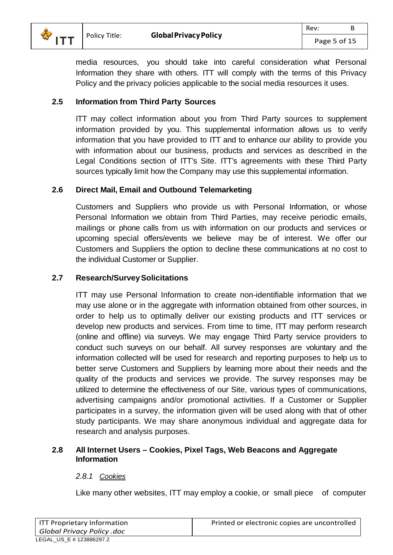

# **2.5 Information from Third Party Sources**

ITT may collect information about you from Third Party sources to supplement information provided by you. This supplemental information allows us to verify information that you have provided to ITT and to enhance our ability to provide you with information about our business, products and services as described in the Legal Conditions section of ITT's Site. ITT's agreements with these Third Party sources typically limit how the Company may use this supplemental information.

## **2.6 Direct Mail, Email and Outbound Telemarketing**

Customers and Suppliers who provide us with Personal Information, or whose Personal Information we obtain from Third Parties, may receive periodic emails, mailings or phone calls from us with information on our products and services or upcoming special offers/events we believe may be of interest. We offer our Customers and Suppliers the option to decline these communications at no cost to the individual Customer or Supplier.

### **2.7 Research/SurveySolicitations**

ITT may use Personal Information to create non-identifiable information that we may use alone or in the aggregate with information obtained from other sources, in order to help us to optimally deliver our existing products and ITT services or develop new products and services. From time to time, ITT may perform research (online and offline) via surveys. We may engage Third Party service providers to conduct such surveys on our behalf. All survey responses are voluntary and the information collected will be used for research and reporting purposes to help us to better serve Customers and Suppliers by learning more about their needs and the quality of the products and services we provide. The survey responses may be utilized to determine the effectiveness of our Site, various types of communications, advertising campaigns and/or promotional activities. If a Customer or Supplier participates in a survey, the information given will be used along with that of other study participants. We may share anonymous individual and aggregate data for research and analysis purposes.

### **2.8 All Internet Users – Cookies, Pixel Tags, Web Beacons and Aggregate Information**

## *2.8.1 Cookies*

Like many other websites, ITT may employ a cookie, or small piece of computer

| ITT Proprietary Information |  |  |  |  |
|-----------------------------|--|--|--|--|
| Global Privacy Policy .doc  |  |  |  |  |
| LEGAL US E # 123886297.2    |  |  |  |  |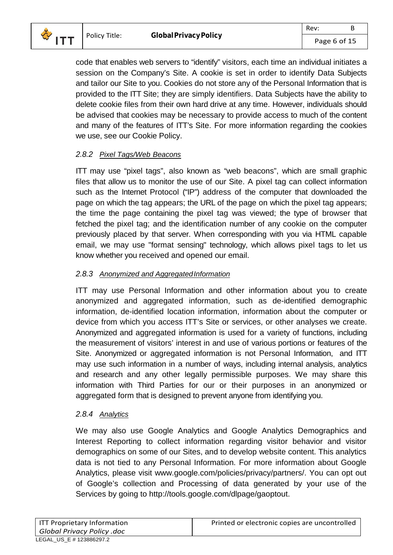

code that enables web servers to "identify" visitors, each time an individual initiates a session on the Company's Site. A cookie is set in order to identify Data Subjects and tailor our Site to you. Cookies do not store any of the Personal Information that is provided to the ITT Site; they are simply identifiers. Data Subjects have the ability to delete cookie files from their own hard drive at any time. However, individuals should be advised that cookies may be necessary to provide access to much of the content and many of the features of ITT's Site. For more information regarding the cookies we use, see our Cookie Policy.

## *2.8.2 Pixel Tags/Web Beacons*

ITT may use "pixel tags", also known as "web beacons", which are small graphic files that allow us to monitor the use of our Site. A pixel tag can collect information such as the Internet Protocol ("IP") address of the computer that downloaded the page on which the tag appears; the URL of the page on which the pixel tag appears; the time the page containing the pixel tag was viewed; the type of browser that fetched the pixel tag; and the identification number of any cookie on the computer previously placed by that server. When corresponding with you via HTML capable email, we may use "format sensing" technology, which allows pixel tags to let us know whether you received and opened our email.

### *2.8.3 Anonymized and AggregatedInformation*

ITT may use Personal Information and other information about you to create anonymized and aggregated information, such as de-identified demographic information, de-identified location information, information about the computer or device from which you access ITT's Site or services, or other analyses we create. Anonymized and aggregated information is used for a variety of functions, including the measurement of visitors' interest in and use of various portions or features of the Site. Anonymized or aggregated information is not Personal Information, and ITT may use such information in a number of ways, including internal analysis, analytics and research and any other legally permissible purposes. We may share this information with Third Parties for our or their purposes in an anonymized or aggregated form that is designed to prevent anyone from identifying you.

## *2.8.4 Analytics*

We may also use Google Analytics and Google Analytics Demographics and Interest Reporting to collect information regarding visitor behavior and visitor demographics on some of our Sites, and to develop website content. This analytics data is not tied to any Personal Information. For more information about Google Analytics, please visit [www.google.com/policies/privacy/partners/.](http://www.google.com/policies/privacy/partners/) You can opt out of Google's collection and Processing of data generated by your use of the Services by going to [http://tools.google.com/dlpage/gaoptout.](http://tools.google.com/dlpage/gaoptout)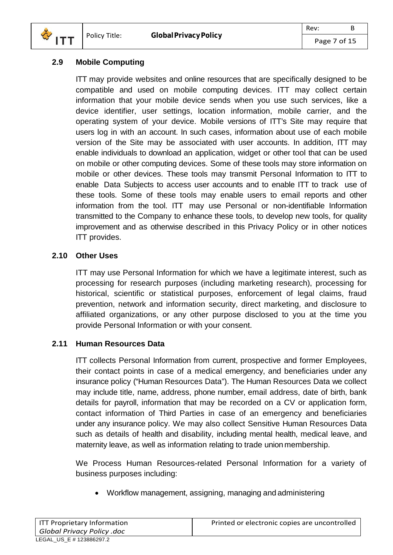

### **2.9 Mobile Computing**

ITT may provide websites and online resources that are specifically designed to be compatible and used on mobile computing devices. ITT may collect certain information that your mobile device sends when you use such services, like a device identifier, user settings, location information, mobile carrier, and the operating system of your device. Mobile versions of ITT's Site may require that users log in with an account. In such cases, information about use of each mobile version of the Site may be associated with user accounts. In addition, ITT may enable individuals to download an application, widget or other tool that can be used on mobile or other computing devices. Some of these tools may store information on mobile or other devices. These tools may transmit Personal Information to ITT to enable Data Subjects to access user accounts and to enable ITT to track use of these tools. Some of these tools may enable users to email reports and other information from the tool. ITT may use Personal or non-identifiable Information transmitted to the Company to enhance these tools, to develop new tools, for quality improvement and as otherwise described in this Privacy Policy or in other notices ITT provides.

### <span id="page-6-0"></span>**2.10 Other Uses**

ITT may use Personal Information for which we have a legitimate interest, such as processing for research purposes (including marketing research), processing for historical, scientific or statistical purposes, enforcement of legal claims, fraud prevention, network and information security, direct marketing, and disclosure to affiliated organizations, or any other purpose disclosed to you at the time you provide Personal Information or with your consent.

## **2.11 Human Resources Data**

ITT collects Personal Information from current, prospective and former Employees, their contact points in case of a medical emergency, and beneficiaries under any insurance policy ("Human Resources Data"). The Human Resources Data we collect may include title, name, address, phone number, email address, date of birth, bank details for payroll, information that may be recorded on a CV or application form, contact information of Third Parties in case of an emergency and beneficiaries under any insurance policy. We may also collect Sensitive Human Resources Data such as details of health and disability, including mental health, medical leave, and maternity leave, as well as information relating to trade union membership.

We Process Human Resources-related Personal Information for a variety of business purposes including:

• Workflow management, assigning, managing and administering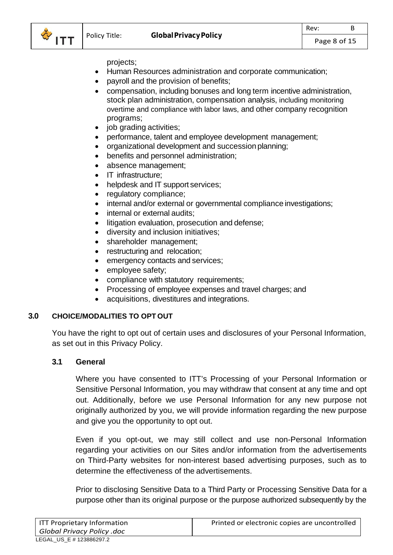

projects;

- Human Resources administration and corporate communication;
- payroll and the provision of benefits;
- compensation, including bonuses and long term incentive administration, stock plan administration, compensation analysis, including monitoring overtime and compliance with labor laws, and other company recognition programs;
- job grading activities;
- performance, talent and employee development management;
- organizational development and succession planning;
- benefits and personnel administration;
- absence management;
- IT infrastructure:
- helpdesk and IT support services;
- regulatory compliance;
- internal and/or external or governmental compliance investigations;
- internal or external audits;
- litigation evaluation, prosecution and defense;
- diversity and inclusion initiatives;
- shareholder management;
- restructuring and relocation;
- emergency contacts and services;
- employee safety;
- compliance with statutory requirements;
- Processing of employee expenses and travel charges; and
- acquisitions, divestitures and integrations.

#### **3.0 CHOICE/MODALITIES TO OPT OUT**

You have the right to opt out of certain uses and disclosures of your Personal Information, as set out in this Privacy Policy.

#### **3.1 General**

Where you have consented to ITT's Processing of your Personal Information or Sensitive Personal Information, you may withdraw that consent at any time and opt out. Additionally, before we use Personal Information for any new purpose not originally authorized by you, we will provide information regarding the new purpose and give you the opportunity to opt out.

Even if you opt-out, we may still collect and use non-Personal Information regarding your activities on our Sites and/or information from the advertisements on Third-Party websites for non-interest based advertising purposes, such as to determine the effectiveness of the advertisements.

Prior to disclosing Sensitive Data to a Third Party or Processing Sensitive Data for a purpose other than its original purpose or the purpose authorized subsequently by the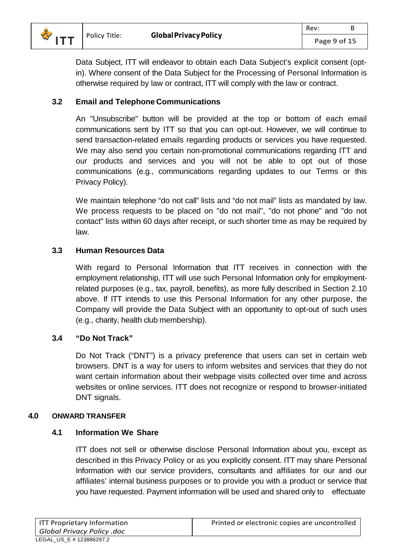

Data Subject, ITT will endeavor to obtain each Data Subject's explicit consent (optin). Where consent of the Data Subject for the Processing of Personal Information is otherwise required by law or contract, ITT will comply with the law or contract.

### **3.2 Email and Telephone Communications**

An "Unsubscribe" button will be provided at the top or bottom of each email communications sent by ITT so that you can opt-out. However, we will continue to send transaction-related emails regarding products or services you have requested. We may also send you certain non-promotional communications regarding ITT and our products and services and you will not be able to opt out of those communications (e.g., communications regarding updates to our Terms or this Privacy Policy).

We maintain telephone "do not call" lists and "do not mail" lists as mandated by law. We process requests to be placed on "do not mail", "do not phone" and "do not contact" lists within 60 days after receipt, or such shorter time as may be required by law.

### **3.3 Human Resources Data**

With regard to Personal Information that ITT receives in connection with the employment relationship, ITT will use such Personal Information only for employmentrelated purposes (e.g., tax, payroll, benefits), as more fully described in Section [2.10](#page-6-0) above. If ITT intends to use this Personal Information for any other purpose, the Company will provide the Data Subject with an opportunity to opt-out of such uses (e.g., charity, health club membership).

#### **3.4 "Do Not Track"**

Do Not Track ("DNT") is a privacy preference that users can set in certain web browsers. DNT is a way for users to inform websites and services that they do not want certain information about their webpage visits collected over time and across websites or online services. ITT does not recognize or respond to browser-initiated DNT signals.

#### **4.0 ONWARD TRANSFER**

#### **4.1 Information We Share**

ITT does not sell or otherwise disclose Personal Information about you, except as described in this Privacy Policy or as you explicitly consent. ITT may share Personal Information with our service providers, consultants and affiliates for our and our affiliates' internal business purposes or to provide you with a product or service that you have requested. Payment information will be used and shared only to effectuate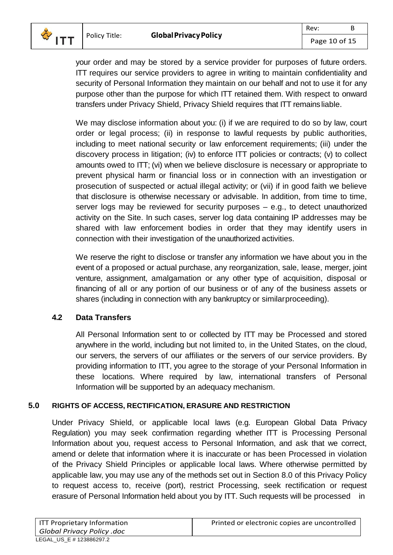

your order and may be stored by a service provider for purposes of future orders. ITT requires our service providers to agree in writing to maintain confidentiality and security of Personal Information they maintain on our behalf and not to use it for any purpose other than the purpose for which ITT retained them. With respect to onward transfers under Privacy Shield, Privacy Shield requires that ITT remainsliable.

We may disclose information about you: (i) if we are required to do so by law, court order or legal process; (ii) in response to lawful requests by public authorities, including to meet national security or law enforcement requirements; (iii) under the discovery process in litigation; (iv) to enforce ITT policies or contracts; (v) to collect amounts owed to ITT; (vi) when we believe disclosure is necessary or appropriate to prevent physical harm or financial loss or in connection with an investigation or prosecution of suspected or actual illegal activity; or (vii) if in good faith we believe that disclosure is otherwise necessary or advisable. In addition, from time to time, server logs may be reviewed for security purposes – e.g., to detect unauthorized activity on the Site. In such cases, server log data containing IP addresses may be shared with law enforcement bodies in order that they may identify users in connection with their investigation of the unauthorized activities.

We reserve the right to disclose or transfer any information we have about you in the event of a proposed or actual purchase, any reorganization, sale, lease, merger, joint venture, assignment, amalgamation or any other type of acquisition, disposal or financing of all or any portion of our business or of any of the business assets or shares (including in connection with any bankruptcy or similarproceeding).

## **4.2 Data Transfers**

All Personal Information sent to or collected by ITT may be Processed and stored anywhere in the world, including but not limited to, in the United States, on the cloud, our servers, the servers of our affiliates or the servers of our service providers. By providing information to ITT, you agree to the storage of your Personal Information in these locations. Where required by law, international transfers of Personal Information will be supported by an adequacy mechanism.

#### **5.0 RIGHTS OF ACCESS, RECTIFICATION, ERASURE AND RESTRICTION**

Under Privacy Shield, or applicable local laws (e.g. European Global Data Privacy Regulation) you may seek confirmation regarding whether ITT is Processing Personal Information about you, request access to Personal Information, and ask that we correct, amend or delete that information where it is inaccurate or has been Processed in violation of the Privacy Shield Principles or applicable local laws. Where otherwise permitted by applicable law, you may use any of the methods set out in Section [8.0](#page-10-0) of this Privacy Policy to request access to, receive (port), restrict Processing, seek rectification or request erasure of Personal Information held about you by ITT. Such requests will be processed in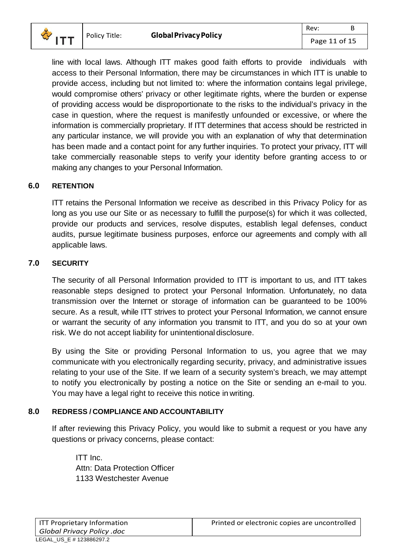

line with local laws. Although ITT makes good faith efforts to provide individuals with access to their Personal Information, there may be circumstances in which ITT is unable to provide access, including but not limited to: where the information contains legal privilege, would compromise others' privacy or other legitimate rights, where the burden or expense of providing access would be disproportionate to the risks to the individual's privacy in the case in question, where the request is manifestly unfounded or excessive, or where the information is commercially proprietary. If ITT determines that access should be restricted in any particular instance, we will provide you with an explanation of why that determination has been made and a contact point for any further inquiries. To protect your privacy, ITT will take commercially reasonable steps to verify your identity before granting access to or making any changes to your Personal Information.

### **6.0 RETENTION**

ITT retains the Personal Information we receive as described in this Privacy Policy for as long as you use our Site or as necessary to fulfill the purpose(s) for which it was collected, provide our products and services, resolve disputes, establish legal defenses, conduct audits, pursue legitimate business purposes, enforce our agreements and comply with all applicable laws.

#### **7.0 SECURITY**

The security of all Personal Information provided to ITT is important to us, and ITT takes reasonable steps designed to protect your Personal Information. Unfortunately, no data transmission over the Internet or storage of information can be guaranteed to be 100% secure. As a result, while ITT strives to protect your Personal Information, we cannot ensure or warrant the security of any information you transmit to ITT, and you do so at your own risk. We do not accept liability for unintentional disclosure.

By using the Site or providing Personal Information to us, you agree that we may communicate with you electronically regarding security, privacy, and administrative issues relating to your use of the Site. If we learn of a security system's breach, we may attempt to notify you electronically by posting a notice on the Site or sending an e-mail to you. You may have a legal right to receive this notice in writing.

#### <span id="page-10-0"></span>**8.0 REDRESS / COMPLIANCE AND ACCOUNTABILITY**

If after reviewing this Privacy Policy, you would like to submit a request or you have any questions or privacy concerns, please contact:

ITT Inc. Attn: Data Protection Officer 1133 Westchester Avenue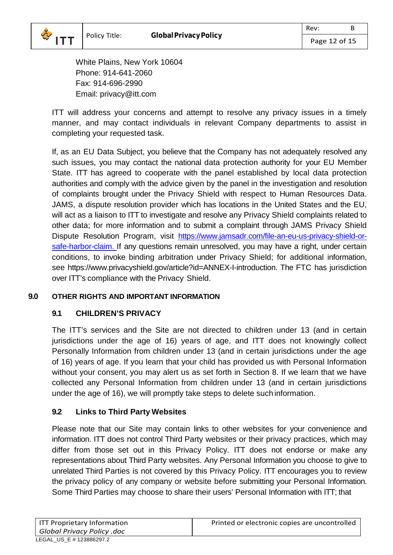White Plains, New York 10604 Phone: 914-641-2060 Fax: 914-696-2990 Email: privacy@itt.com

ITT will address your concerns and attempt to resolve any privacy issues in a timely manner, and may contact individuals in relevant Company departments to assist in completing your requested task.

If, as an EU Data Subject, you believe that the Company has not adequately resolved any such issues, you may contact the national data protection authority for your EU Member State. ITT has agreed to cooperate with the panel established by local data protection authorities and comply with the advice given by the panel in the investigation and resolution of complaints brought under the Privacy Shield with respect to Human Resources Data. JAMS, a dispute resolution provider which has locations in the United States and the EU, will act as a liaison to ITT to investigate and resolve any Privacy Shield complaints related to other data; for more information and to submit a complaint through JAMS Privacy Shield Dispute Resolution Program, visit [https://www.jamsadr.com/file-an-eu-us-privacy-shield-or](https://www.jamsadr.com/file-an-eu-us-privacy-shield-or-safe-harbor-claim)[safe-harbor-claim.](https://www.jamsadr.com/file-an-eu-us-privacy-shield-or-safe-harbor-claim) If any questions remain unresolved, you may have a right, under certain conditions, to invoke binding arbitration under Privacy Shield; for additional information, see https:[//www.privacyshield.gov/article?id=ANNEX-I-introduction.](http://www.privacyshield.gov/article?id=ANNEX-I-introduction) The FTC has jurisdiction over ITT's compliance with the Privacy Shield.

## **9.0 OTHER RIGHTS AND IMPORTANT INFORMATION**

## **9.1 CHILDREN'S PRIVACY**

The ITT's services and the Site are not directed to children under 13 (and in certain jurisdictions under the age of 16) years of age, and ITT does not knowingly collect Personally Information from children under 13 (and in certain jurisdictions under the age of 16) years of age. If you learn that your child has provided us with Personal Information without your consent, you may alert us as set forth in Section 8. If we learn that we have collected any Personal Information from children under 13 (and in certain jurisdictions under the age of 16), we will promptly take steps to delete such information.

## **9.2 Links to Third Party Websites**

Please note that our Site may contain links to other websites for your convenience and information. ITT does not control Third Party websites or their privacy practices, which may differ from those set out in this Privacy Policy. ITT does not endorse or make any representations about Third Party websites. Any Personal Information you choose to give to unrelated Third Parties is not covered by this Privacy Policy. ITT encourages you to review the privacy policy of any company or website before submitting your Personal Information. Some Third Parties may choose to share their users' Personal Information with ITT; that

 $\frac{1}{2}$  ITT